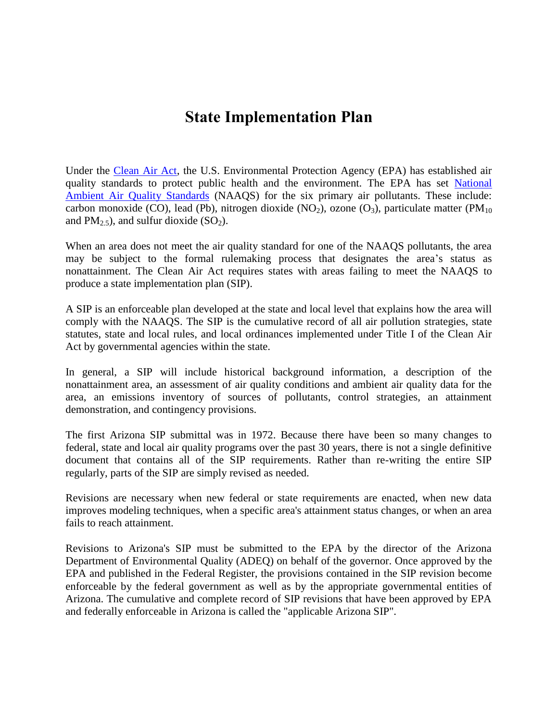# **State Implementation Plan**

Under the [Clean Air Act,](https://www.epa.gov/laws-regulations/summary-clean-air-act) the U.S. Environmental Protection Agency (EPA) has established air quality standards to protect public health and the environment. The EPA has set [National](https://www3.epa.gov/ttn/naaqs/)  [Ambient Air Quality Standards](https://www3.epa.gov/ttn/naaqs/) (NAAQS) for the six primary air pollutants. These include: carbon monoxide (CO), lead (Pb), nitrogen dioxide (NO<sub>2</sub>), ozone (O<sub>3</sub>), particulate matter (PM<sub>10</sub>) and  $PM_{2.5}$ ), and sulfur dioxide (SO<sub>2</sub>).

When an area does not meet the air quality standard for one of the NAAQS pollutants, the area may be subject to the formal rulemaking process that designates the area's status as nonattainment. The Clean Air Act requires states with areas failing to meet the NAAQS to produce a state implementation plan (SIP).

A SIP is an enforceable plan developed at the state and local level that explains how the area will comply with the NAAQS. The SIP is the cumulative record of all air pollution strategies, state statutes, state and local rules, and local ordinances implemented under Title I of the Clean Air Act by governmental agencies within the state.

In general, a SIP will include historical background information, a description of the nonattainment area, an assessment of air quality conditions and ambient air quality data for the area, an emissions inventory of sources of pollutants, control strategies, an attainment demonstration, and contingency provisions.

The first Arizona SIP submittal was in 1972. Because there have been so many changes to federal, state and local air quality programs over the past 30 years, there is not a single definitive document that contains all of the SIP requirements. Rather than re-writing the entire SIP regularly, parts of the SIP are simply revised as needed.

Revisions are necessary when new federal or state requirements are enacted, when new data improves modeling techniques, when a specific area's attainment status changes, or when an area fails to reach attainment.

Revisions to Arizona's SIP must be submitted to the EPA by the director of the Arizona Department of Environmental Quality (ADEQ) on behalf of the governor. Once approved by the EPA and published in the Federal Register, the provisions contained in the SIP revision become enforceable by the federal government as well as by the appropriate governmental entities of Arizona. The cumulative and complete record of SIP revisions that have been approved by EPA and federally enforceable in Arizona is called the "applicable Arizona SIP".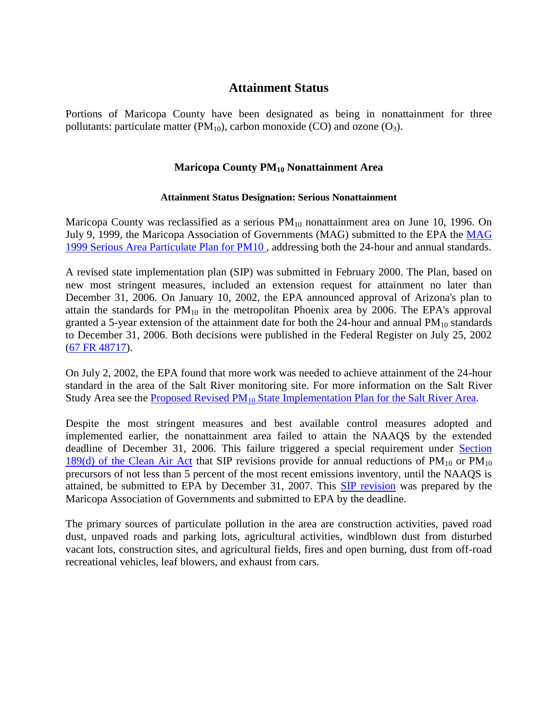# **Attainment Status**

Portions of Maricopa County have been designated as being in nonattainment for three pollutants: particulate matter ( $PM_{10}$ ), carbon monoxide (CO) and ozone (O<sub>3</sub>).

#### **Maricopa County PM<sup>10</sup> Nonattainment Area**

#### **Attainment Status Designation: Serious Nonattainment**

Maricopa County was reclassified as a serious  $PM_{10}$  nonattainment area on June 10, 1996. On July 9, 1999, the Maricopa Association of Governments (MAG) submitted to the EPA the [MAG](http://www.azmag.gov/Documents/pdf/cms.resource/pm-10-exsum99_941.pdf)  [1999 Serious Area Particulate Plan for PM10](http://www.azmag.gov/Documents/pdf/cms.resource/pm-10-exsum99_941.pdf) , addressing both the 24-hour and annual standards.

A revised state implementation plan (SIP) was submitted in February 2000. The Plan, based on new most stringent measures, included an extension request for attainment no later than December 31, 2006. On January 10, 2002, the EPA announced approval of Arizona's plan to attain the standards for  $PM_{10}$  in the metropolitan Phoenix area by 2006. The EPA's approval granted a 5-year extension of the attainment date for both the  $24$ -hour and annual PM<sub>10</sub> standards to December 31, 2006. Both decisions were published in the Federal Register on July 25, 2002 [\(67 FR 48717\)](https://www.gpo.gov/fdsys/granule/FR-2002-07-25/02-18171).

On July 2, 2002, the EPA found that more work was needed to achieve attainment of the 24-hour standard in the area of the Salt River monitoring site. For more information on the Salt River Study Area see the Proposed Revised  $PM_{10}$  [State Implementation Plan for the Salt River Area.](https://repository.asu.edu/items/12629)

Despite the most stringent measures and best available control measures adopted and implemented earlier, the nonattainment area failed to attain the NAAQS by the extended deadline of December 31, 2006. This failure triggered a special requirement under [Section](https://www.gpo.gov/fdsys/pkg/USCODE-2013-title42/html/USCODE-2013-title42-chap85-subchapI-partD-subpart4-sec7513a.htm)  [189\(d\) of the Clean](https://www.gpo.gov/fdsys/pkg/USCODE-2013-title42/html/USCODE-2013-title42-chap85-subchapI-partD-subpart4-sec7513a.htm) Air Act that SIP revisions provide for annual reductions of  $PM_{10}$  or  $PM_{10}$ precursors of not less than 5 percent of the most recent emissions inventory, until the NAAQS is attained, be submitted to EPA by December 31, 2007. This [SIP revision](http://www.azmag.gov/Projects/Project.asp?CMSID=1043&CMSID2=1120) was prepared by the Maricopa Association of Governments and submitted to EPA by the deadline.

The primary sources of particulate pollution in the area are construction activities, paved road dust, unpaved roads and parking lots, agricultural activities, windblown dust from disturbed vacant lots, construction sites, and agricultural fields, fires and open burning, dust from off-road recreational vehicles, leaf blowers, and exhaust from cars.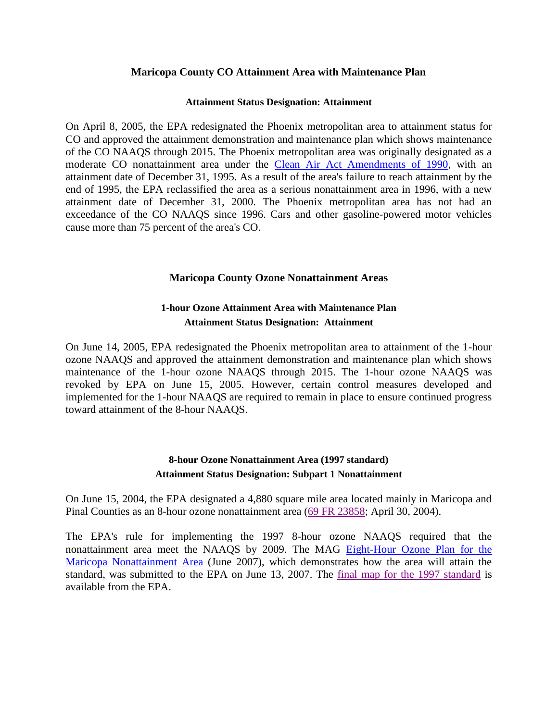## **Maricopa County CO Attainment Area with Maintenance Plan**

#### **Attainment Status Designation: Attainment**

On April 8, 2005, the EPA [redesignated the Phoenix metropolitan area to attainment status for](http://www.epa.gov/region09/air/phxco/index.html)  [CO](http://www.epa.gov/region09/air/phxco/index.html) and approved the attainment demonstration and maintenance plan which shows maintenance of the CO NAAQS through 2015. The Phoenix metropolitan area was originally designated as a moderate CO nonattainment area under the [Clean Air Act Amendments of 1990,](https://www.epa.gov/clean-air-act-overview/1990-clean-air-act-amendment-summary) with an attainment date of December 31, 1995. As a result of the area's failure to reach attainment by the end of 1995, the EPA reclassified the area as a serious nonattainment area in 1996, with a new attainment date of December 31, 2000. The Phoenix metropolitan area has not had an exceedance of the CO NAAQS since 1996. Cars and other gasoline-powered motor vehicles cause more than 75 percent of the area's CO.

## **Maricopa County Ozone Nonattainment Areas**

# **1-hour Ozone Attainment Area with Maintenance Plan Attainment Status Designation: Attainment**

On June 14, 2005, EPA [redesignated the Phoenix metropolitan area to attainment of the 1-hour](http://www.epa.gov/region09/air/phoenixoz/index.html)  [ozone NAAQS](http://www.epa.gov/region09/air/phoenixoz/index.html) and approved the attainment demonstration and maintenance plan which shows maintenance of the 1-hour ozone NAAQS through 2015. The 1-hour ozone NAAQS was revoked by EPA on June 15, 2005. However, certain control measures developed and implemented for the 1-hour NAAQS are required to remain in place to ensure continued progress toward attainment of the 8-hour NAAQS.

## **8-hour Ozone Nonattainment Area (1997 standard) Attainment Status Designation: Subpart 1 Nonattainment**

On June 15, 2004, the EPA designated a 4,880 square mile area located mainly in Maricopa and Pinal Counties as an 8-hour ozone nonattainment area [\(69 FR 23858;](http://www.gpo.gov/fdsys/pkg/FR-2004-04-30/pdf/04-9152.pdf) April 30, 2004).

The EPA's rule for implementing the 1997 8-hour ozone NAAQS required that the nonattainment area meet the NAAQS by 2009. The MAG [Eight-Hour Ozone Plan for the](http://www.azmag.gov/Documents/ES_2007_8-HourOzonePlan.pdf)  [Maricopa Nonattainment](http://www.azmag.gov/Documents/ES_2007_8-HourOzonePlan.pdf) Area (June 2007), which demonstrates how the area will attain the standard, was submitted to the EPA on June 13, 2007. The [final map for the 1997 standard](https://www3.epa.gov/region9/air/maps/r9_o38hr1997.html) is available from the EPA.